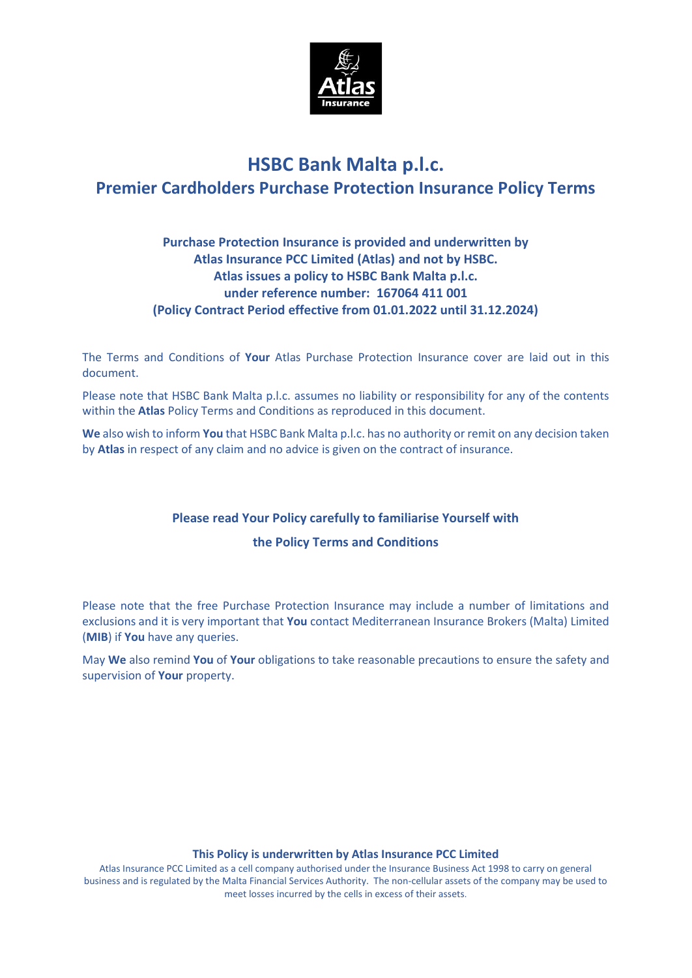

# **HSBC Bank Malta p.l.c. Premier Cardholders Purchase Protection Insurance Policy Terms**

# **Purchase Protection Insurance is provided and underwritten by Atlas Insurance PCC Limited (Atlas) and not by HSBC. Atlas issues a policy to HSBC Bank Malta p.l.c. under reference number: 167064 411 001 (Policy Contract Period effective from 01.01.2022 until 31.12.2024)**

The Terms and Conditions of **Your** Atlas Purchase Protection Insurance cover are laid out in this document.

Please note that HSBC Bank Malta p.l.c. assumes no liability or responsibility for any of the contents within the **Atlas** Policy Terms and Conditions as reproduced in this document.

**We** also wish to inform **You** that HSBC Bank Malta p.l.c. has no authority or remit on any decision taken by **Atlas** in respect of any claim and no advice is given on the contract of insurance.

# **Please read Your Policy carefully to familiarise Yourself with**

# **the Policy Terms and Conditions**

Please note that the free Purchase Protection Insurance may include a number of limitations and exclusions and it is very important that **You** contact Mediterranean Insurance Brokers (Malta) Limited (**MIB**) if **You** have any queries.

May **We** also remind **You** of **Your** obligations to take reasonable precautions to ensure the safety and supervision of **Your** property.

# **This Policy is underwritten by Atlas Insurance PCC Limited**

Atlas Insurance PCC Limited as a cell company authorised under the Insurance Business Act 1998 to carry on general business and is regulated by the Malta Financial Services Authority. The non-cellular assets of the company may be used to meet losses incurred by the cells in excess of their assets.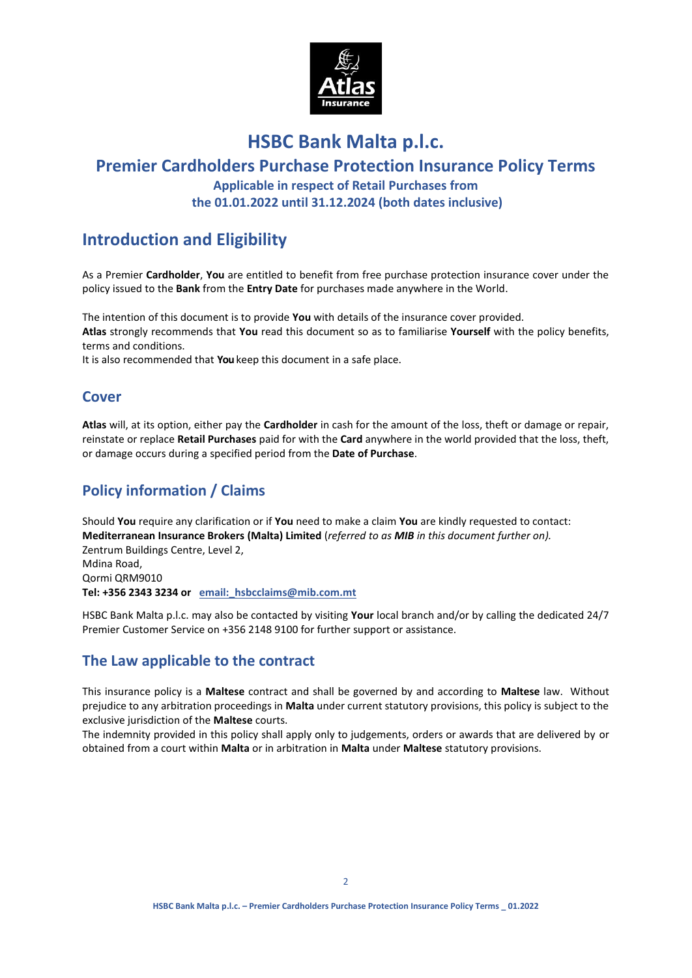

# **HSBC Bank Malta p.l.c.**

# **Premier Cardholders Purchase Protection Insurance Policy Terms Applicable in respect of Retail Purchases from the 01.01.2022 until 31.12.2024 (both dates inclusive)**

# **Introduction and Eligibility**

As a Premier **Cardholder**, **You** are entitled to benefit from free purchase protection insurance cover under the policy issued to the **Bank** from the **Entry Date** for purchases made anywhere in the World.

The intention of this document is to provide **You** with details of the insurance cover provided. **Atlas** strongly recommends that **You** read this document so as to familiarise **Yourself** with the policy benefits, terms and conditions.

It is also recommended that **You** keep this document in a safe place.

# **Cover**

**Atlas** will, at its option, either pay the **Cardholder** in cash for the amount of the loss, theft or damage or repair, reinstate or replace **Retail Purchases** paid for with the **Card** anywhere in the world provided that the loss, theft, or damage occurs during a specified period from the **Date of Purchase**.

# **Policy information / Claims**

Should **You** require any clarification or if **You** need to make a claim **You** are kindly requested to contact: **Mediterranean Insurance Brokers (Malta) Limited** (*referred to as MIB in this document further on).* Zentrum Buildings Centre, Level 2, Mdina Road, Qormi QRM9010 **Tel: +356 2343 3234 or email:\_hsbcclaims@mib.com.mt**

HSBC Bank Malta p.l.c. may also be contacted by visiting **Your** local branch and/or by calling the dedicated 24/7 Premier Customer Service on +356 2148 9100 for further support or assistance.

# **The Law applicable to the contract**

This insurance policy is a **Maltese** contract and shall be governed by and according to **Maltese** law. Without prejudice to any arbitration proceedings in **Malta** under current statutory provisions, this policy is subject to the exclusive jurisdiction of the **Maltese** courts.

The indemnity provided in this policy shall apply only to judgements, orders or awards that are delivered by or obtained from a court within **Malta** or in arbitration in **Malta** under **Maltese** statutory provisions.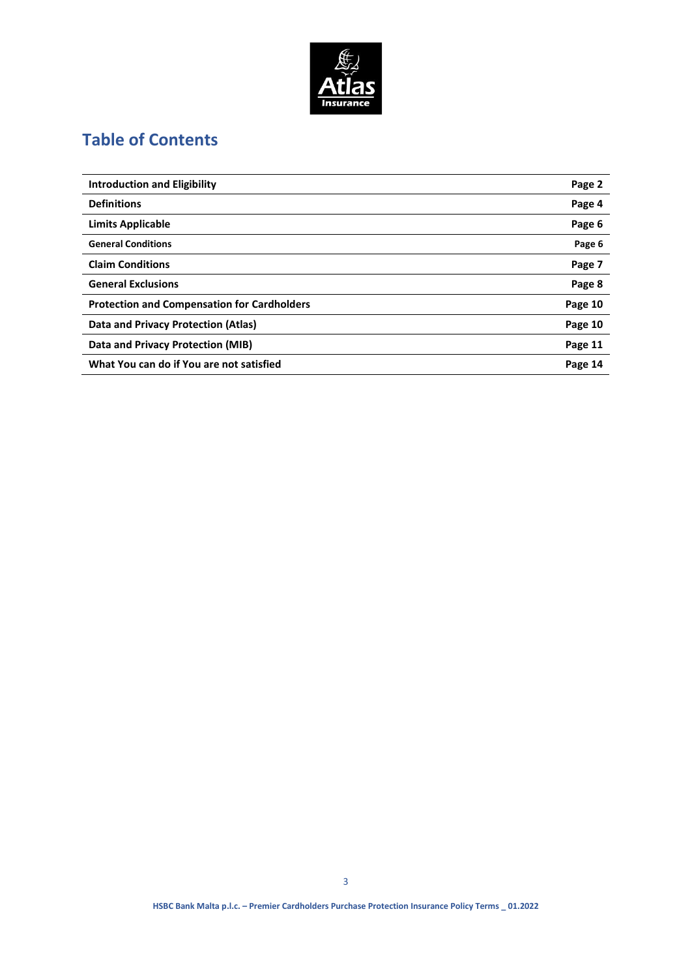

# **Table of Contents**

| <b>Introduction and Eligibility</b>                | Page 2  |
|----------------------------------------------------|---------|
| <b>Definitions</b>                                 | Page 4  |
| <b>Limits Applicable</b>                           | Page 6  |
| <b>General Conditions</b>                          | Page 6  |
| <b>Claim Conditions</b>                            | Page 7  |
| <b>General Exclusions</b>                          | Page 8  |
| <b>Protection and Compensation for Cardholders</b> | Page 10 |
| Data and Privacy Protection (Atlas)                | Page 10 |
| Data and Privacy Protection (MIB)                  | Page 11 |
| What You can do if You are not satisfied           | Page 14 |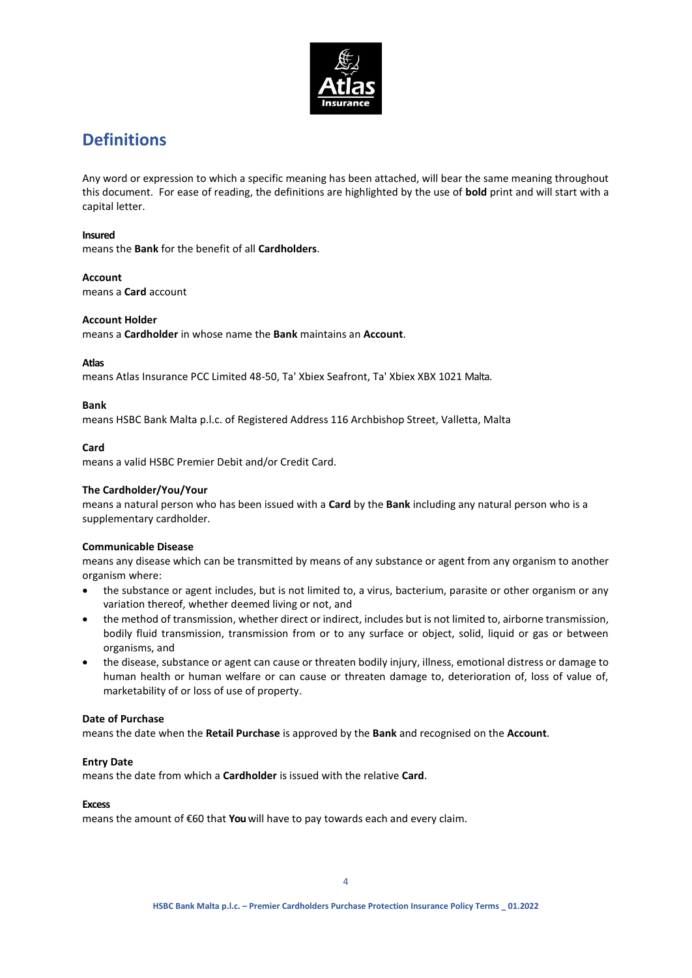

# **Definitions**

Any word or expression to which a specific meaning has been attached, will bear the same meaning throughout this document. For ease of reading, the definitions are highlighted by the use of **bold** print and will start with a capital letter.

## **Insured**

means the **Bank** for the benefit of all **Cardholders**.

### **Account**

means a **Card** account

### **Account Holder**

means a **Cardholder** in whose name the **Bank** maintains an **Account**.

### **Atlas**

means Atlas Insurance PCC Limited 48-50, Ta' Xbiex Seafront, Ta' Xbiex XBX 1021 Malta.

### **Bank**

means HSBC Bank Malta p.l.c. of Registered Address 116 Archbishop Street, Valletta, Malta

# **Card**

means a valid HSBC Premier Debit and/or Credit Card.

# **The Cardholder/You/Your**

means a natural person who has been issued with a **Card** by the **Bank** including any natural person who is a supplementary cardholder.

# **Communicable Disease**

means any disease which can be transmitted by means of any substance or agent from any organism to another organism where:

- the substance or agent includes, but is not limited to, a virus, bacterium, parasite or other organism or any variation thereof, whether deemed living or not, and
- the method of transmission, whether direct or indirect, includes but is not limited to, airborne transmission, bodily fluid transmission, transmission from or to any surface or object, solid, liquid or gas or between organisms, and
- the disease, substance or agent can cause or threaten bodily injury, illness, emotional distress or damage to human health or human welfare or can cause or threaten damage to, deterioration of, loss of value of, marketability of or loss of use of property.

#### **Date of Purchase**

means the date when the **Retail Purchase** is approved by the **Bank** and recognised on the **Account**.

#### **Entry Date**

means the date from which a **Cardholder** is issued with the relative **Card**.

#### **Excess**

means the amount of €60 that **You** will have to pay towards each and every claim.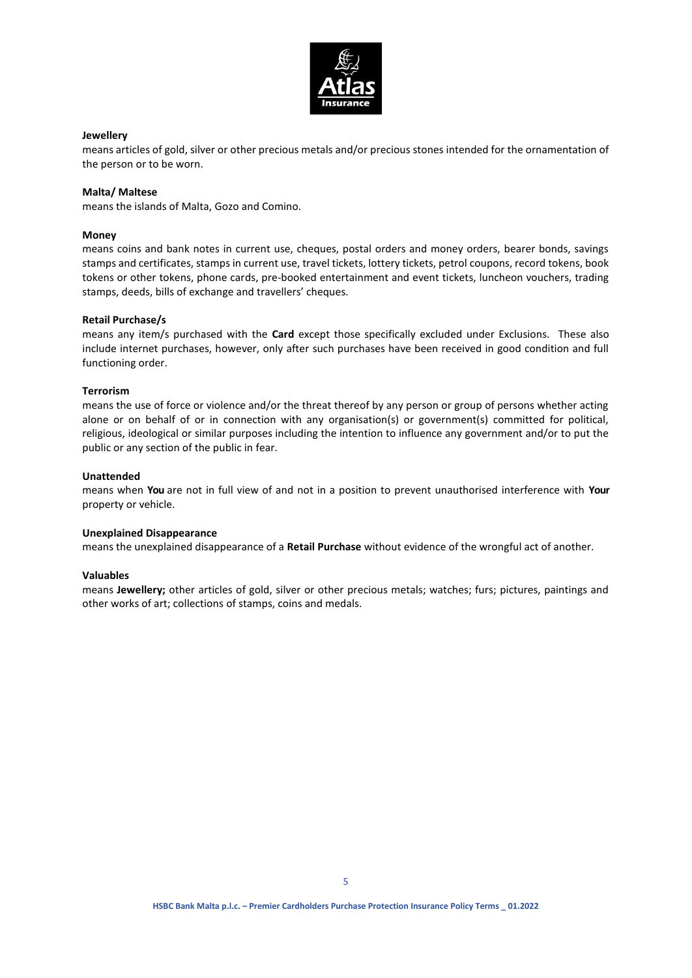

## **Jewellery**

means articles of gold, silver or other precious metals and/or precious stones intended for the ornamentation of the person or to be worn.

## **Malta/ Maltese**

means the islands of Malta, Gozo and Comino.

### **Money**

means coins and bank notes in current use, cheques, postal orders and money orders, bearer bonds, savings stamps and certificates, stamps in current use, travel tickets, lottery tickets, petrol coupons, record tokens, book tokens or other tokens, phone cards, pre-booked entertainment and event tickets, luncheon vouchers, trading stamps, deeds, bills of exchange and travellers' cheques.

### **Retail Purchase/s**

means any item/s purchased with the **Card** except those specifically excluded under Exclusions. These also include internet purchases, however, only after such purchases have been received in good condition and full functioning order.

### **Terrorism**

means the use of force or violence and/or the threat thereof by any person or group of persons whether acting alone or on behalf of or in connection with any organisation(s) or government(s) committed for political, religious, ideological or similar purposes including the intention to influence any government and/or to put the public or any section of the public in fear.

### **Unattended**

means when **You** are not in full view of and not in a position to prevent unauthorised interference with **Your**  property or vehicle.

#### **Unexplained Disappearance**

means the unexplained disappearance of a **Retail Purchase** without evidence of the wrongful act of another.

#### **Valuables**

means **Jewellery;** other articles of gold, silver or other precious metals; watches; furs; pictures, paintings and other works of art; collections of stamps, coins and medals.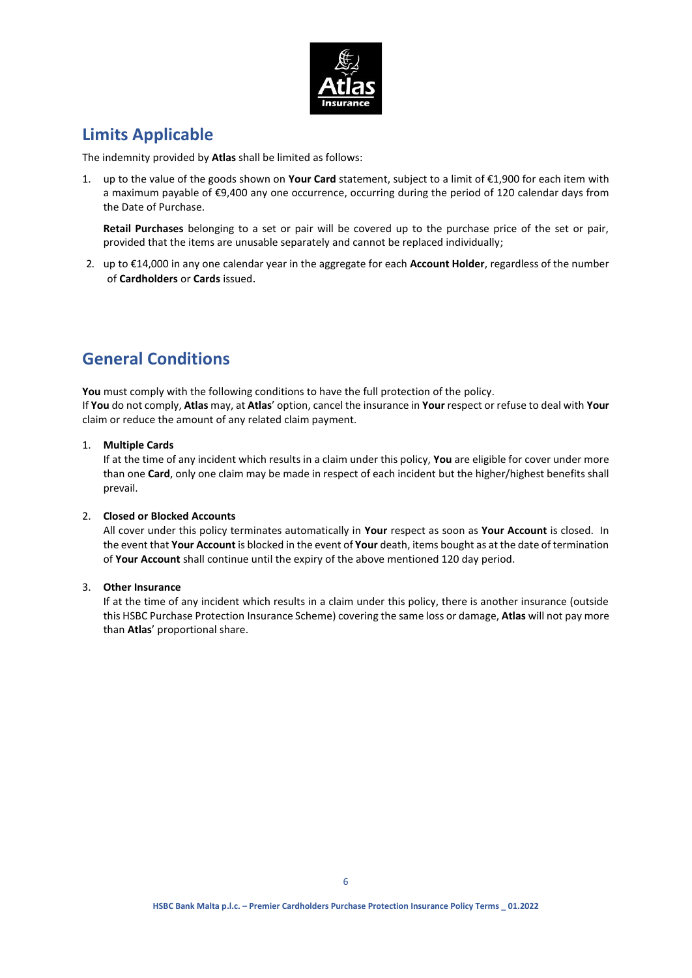

# **Limits Applicable**

The indemnity provided by **Atlas** shall be limited as follows:

1. up to the value of the goods shown on **Your Card** statement, subject to a limit of €1,900 for each item with a maximum payable of €9,400 any one occurrence, occurring during the period of 120 calendar days from the Date of Purchase.

**Retail Purchases** belonging to a set or pair will be covered up to the purchase price of the set or pair, provided that the items are unusable separately and cannot be replaced individually;

2. up to €14,000 in any one calendar year in the aggregate for each **Account Holder**, regardless of the number of **Cardholders** or **Cards** issued.

# **General Conditions**

You must comply with the following conditions to have the full protection of the policy. If **You** do not comply, **Atlas** may, at **Atlas**' option, cancel the insurance in **Your** respect or refuse to deal with **Your** claim or reduce the amount of any related claim payment.

# 1. **Multiple Cards**

If at the time of any incident which results in a claim under this policy, **You** are eligible for cover under more than one **Card**, only one claim may be made in respect of each incident but the higher/highest benefits shall prevail.

# 2. **Closed or Blocked Accounts**

All cover under this policy terminates automatically in **Your** respect as soon as **Your Account** is closed. In the event that **Your Account** is blocked in the event of **Your** death, items bought as at the date of termination of **Your Account** shall continue until the expiry of the above mentioned 120 day period.

# 3. **Other Insurance**

If at the time of any incident which results in a claim under this policy, there is another insurance (outside this HSBC Purchase Protection Insurance Scheme) covering the same loss or damage, **Atlas** will not pay more than **Atlas**' proportional share.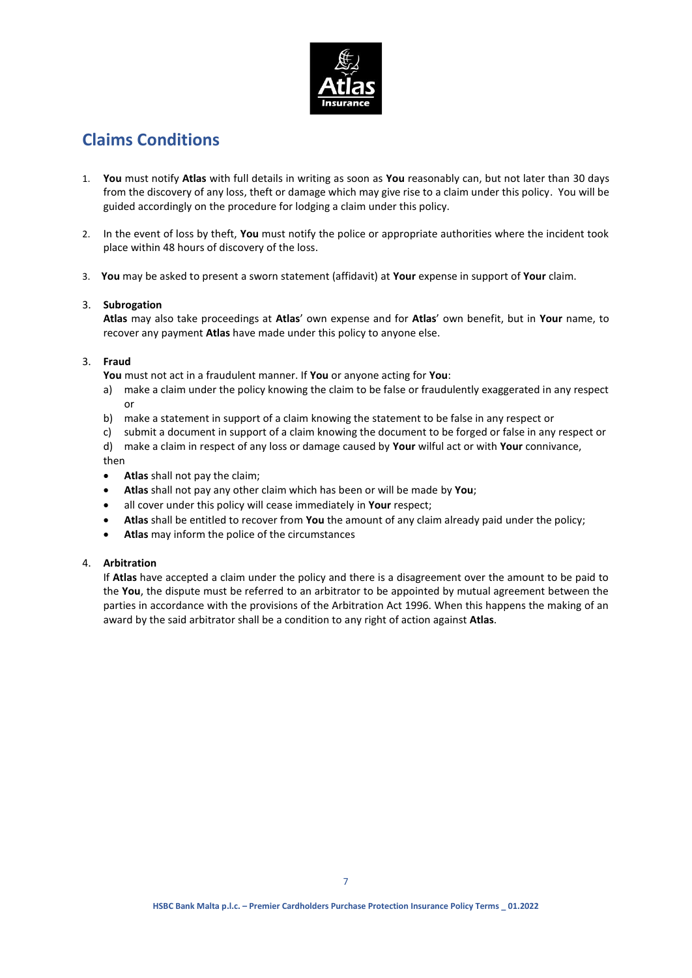

# **Claims Conditions**

- 1. **You** must notify **Atlas** with full details in writing as soon as **You** reasonably can, but not later than 30 days from the discovery of any loss, theft or damage which may give rise to a claim under this policy. You will be guided accordingly on the procedure for lodging a claim under this policy.
- 2. In the event of loss by theft, **You** must notify the police or appropriate authorities where the incident took place within 48 hours of discovery of the loss.
- 3. **You** may be asked to present a sworn statement (affidavit) at **Your** expense in support of **Your** claim.

# 3. **Subrogation**

**Atlas** may also take proceedings at **Atlas**' own expense and for **Atlas**' own benefit, but in **Your** name, to recover any payment **Atlas** have made under this policy to anyone else.

### 3. **Fraud**

**You** must not act in a fraudulent manner. If **You** or anyone acting for **You**:

- a) make a claim under the policy knowing the claim to be false or fraudulently exaggerated in any respect or
- b) make a statement in support of a claim knowing the statement to be false in any respect or
- c) submit a document in support of a claim knowing the document to be forged or false in any respect or
- d) make a claim in respect of any loss or damage caused by **Your** wilful act or with **Your** connivance, then
- **Atlas** shall not pay the claim;
- **Atlas** shall not pay any other claim which has been or will be made by **You**;
- all cover under this policy will cease immediately in **Your** respect;
- **Atlas** shall be entitled to recover from **You** the amount of any claim already paid under the policy;
- **Atlas** may inform the police of the circumstances

# 4. **Arbitration**

If **Atlas** have accepted a claim under the policy and there is a disagreement over the amount to be paid to the **You**, the dispute must be referred to an arbitrator to be appointed by mutual agreement between the parties in accordance with the provisions of the Arbitration Act 1996. When this happens the making of an award by the said arbitrator shall be a condition to any right of action against **Atlas**.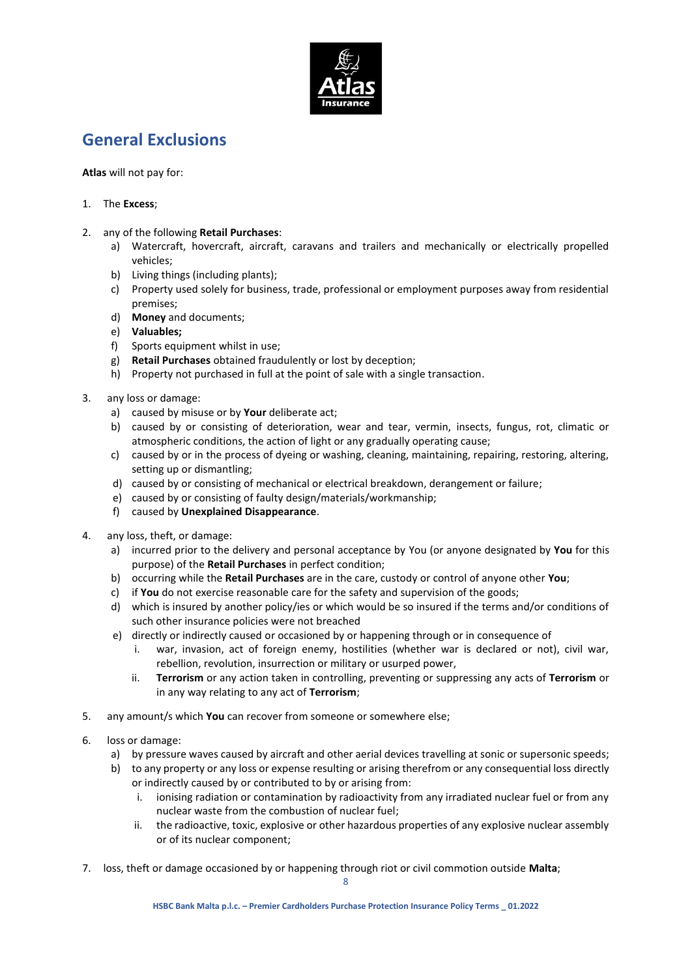

# **General Exclusions**

**Atlas** will not pay for:

# 1. The **Excess**;

# 2. any of the following **Retail Purchases**:

- a) Watercraft, hovercraft, aircraft, caravans and trailers and mechanically or electrically propelled vehicles;
- b) Living things (including plants);
- c) Property used solely for business, trade, professional or employment purposes away from residential premises;
- d) **Money** and documents;
- e) **Valuables;**
- f) Sports equipment whilst in use;
- g) **Retail Purchases** obtained fraudulently or lost by deception;
- h) Property not purchased in full at the point of sale with a single transaction.
- 3. any loss or damage:
	- a) caused by misuse or by **Your** deliberate act;
	- b) caused by or consisting of deterioration, wear and tear, vermin, insects, fungus, rot, climatic or atmospheric conditions, the action of light or any gradually operating cause;
	- c) caused by or in the process of dyeing or washing, cleaning, maintaining, repairing, restoring, altering, setting up or dismantling;
	- d) caused by or consisting of mechanical or electrical breakdown, derangement or failure;
	- e) caused by or consisting of faulty design/materials/workmanship;
	- f) caused by **Unexplained Disappearance**.
- 4. any loss, theft, or damage:
	- a) incurred prior to the delivery and personal acceptance by You (or anyone designated by **You** for this purpose) of the **Retail Purchases** in perfect condition;
	- b) occurring while the **Retail Purchases** are in the care, custody or control of anyone other **You**;
	- c) if **You** do not exercise reasonable care for the safety and supervision of the goods;
	- d) which is insured by another policy/ies or which would be so insured if the terms and/or conditions of such other insurance policies were not breached
	- e) directly or indirectly caused or occasioned by or happening through or in consequence of
		- i. war, invasion, act of foreign enemy, hostilities (whether war is declared or not), civil war, rebellion, revolution, insurrection or military or usurped power,
		- ii. **Terrorism** or any action taken in controlling, preventing or suppressing any acts of **Terrorism** or in any way relating to any act of **Terrorism**;
- 5. any amount/s which **You** can recover from someone or somewhere else;
- 6. loss or damage:
	- a) by pressure waves caused by aircraft and other aerial devices travelling at sonic or supersonic speeds;
	- b) to any property or any loss or expense resulting or arising therefrom or any consequential loss directly or indirectly caused by or contributed to by or arising from:
		- i. ionising radiation or contamination by radioactivity from any irradiated nuclear fuel or from any nuclear waste from the combustion of nuclear fuel;
		- ii. the radioactive, toxic, explosive or other hazardous properties of any explosive nuclear assembly or of its nuclear component;
- 7. loss, theft or damage occasioned by or happening through riot or civil commotion outside **Malta**;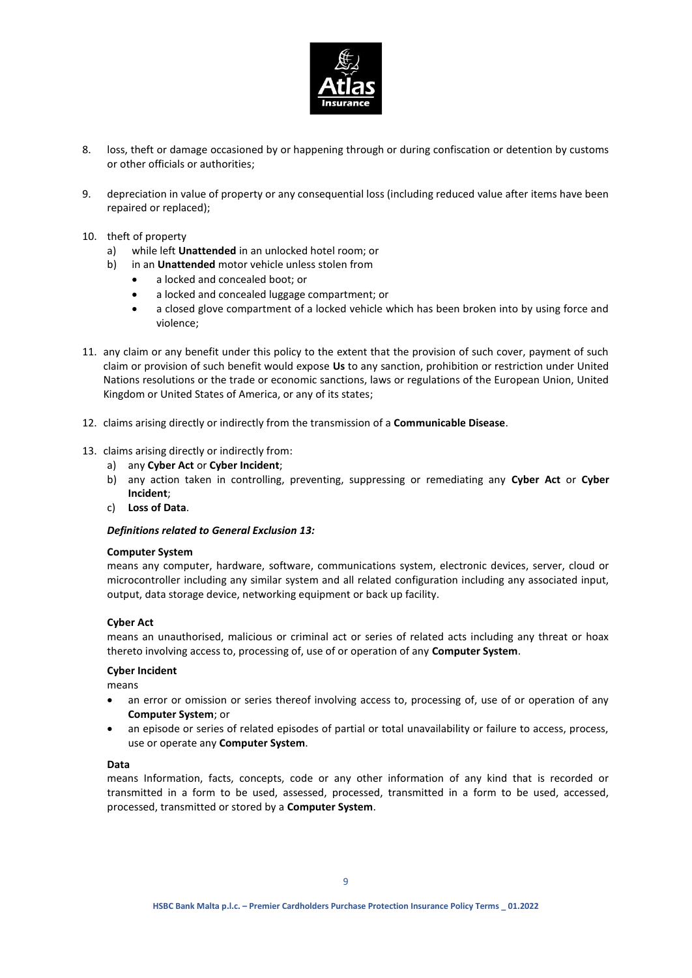

- 8. loss, theft or damage occasioned by or happening through or during confiscation or detention by customs or other officials or authorities;
- 9. depreciation in value of property or any consequential loss (including reduced value after items have been repaired or replaced);
- 10. theft of property
	- a) while left **Unattended** in an unlocked hotel room; or
	- b) in an **Unattended** motor vehicle unless stolen from
		- a locked and concealed boot; or
		- a locked and concealed luggage compartment; or
		- a closed glove compartment of a locked vehicle which has been broken into by using force and violence;
- 11. any claim or any benefit under this policy to the extent that the provision of such cover, payment of such claim or provision of such benefit would expose **Us** to any sanction, prohibition or restriction under United Nations resolutions or the trade or economic sanctions, laws or regulations of the European Union, United Kingdom or United States of America, or any of its states;
- 12. claims arising directly or indirectly from the transmission of a **Communicable Disease**.
- 13. claims arising directly or indirectly from:
	- a) any **Cyber Act** or **Cyber Incident**;
	- b) any action taken in controlling, preventing, suppressing or remediating any **Cyber Act** or **Cyber Incident**;
	- c) **Loss of Data**.

#### *Definitions related to General Exclusion 13:*

#### **Computer System**

means any computer, hardware, software, communications system, electronic devices, server, cloud or microcontroller including any similar system and all related configuration including any associated input, output, data storage device, networking equipment or back up facility.

#### **Cyber Act**

means an unauthorised, malicious or criminal act or series of related acts including any threat or hoax thereto involving access to, processing of, use of or operation of any **Computer System**.

#### **Cyber Incident**

means

- an error or omission or series thereof involving access to, processing of, use of or operation of any **Computer System**; or
- an episode or series of related episodes of partial or total unavailability or failure to access, process, use or operate any **Computer System**.

#### **Data**

means Information, facts, concepts, code or any other information of any kind that is recorded or transmitted in a form to be used, assessed, processed, transmitted in a form to be used, accessed, processed, transmitted or stored by a **Computer System**.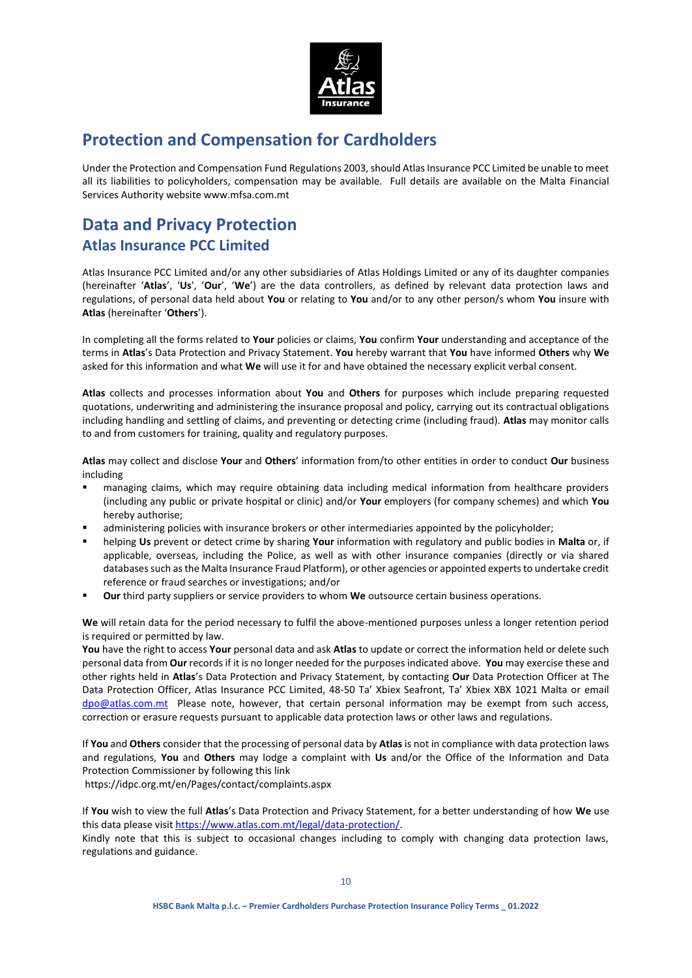

# **Protection and Compensation for Cardholders**

Under the Protection and Compensation Fund Regulations 2003, should Atlas Insurance PCC Limited be unable to meet all its liabilities to policyholders, compensation may be available. Full details are available on the Malta Financial Services Authority website www.mfsa.com.mt

# **Data and Privacy Protection Atlas Insurance PCC Limited**

Atlas Insurance PCC Limited and/or any other subsidiaries of Atlas Holdings Limited or any of its daughter companies (hereinafter '**Atlas**', '**Us**', '**Our**', '**We**') are the data controllers, as defined by relevant data protection laws and regulations, of personal data held about **You** or relating to **You** and/or to any other person/s whom **You** insure with **Atlas** (hereinafter '**Others**').

In completing all the forms related to **Your** policies or claims, **You** confirm **Your** understanding and acceptance of the terms in **Atlas**'s Data Protection and Privacy Statement. **You** hereby warrant that **You** have informed **Others** why **We** asked for this information and what **We** will use it for and have obtained the necessary explicit verbal consent.

**Atlas** collects and processes information about **You** and **Others** for purposes which include preparing requested quotations, underwriting and administering the insurance proposal and policy, carrying out its contractual obligations including handling and settling of claims, and preventing or detecting crime (including fraud). **Atlas** may monitor calls to and from customers for training, quality and regulatory purposes.

**Atlas** may collect and disclose **Your** and **Others**' information from/to other entities in order to conduct **Our** business including

- managing claims, which may require obtaining data including medical information from healthcare providers (including any public or private hospital or clinic) and/or **Your** employers (for company schemes) and which **You** hereby authorise;
- administering policies with insurance brokers or other intermediaries appointed by the policyholder;
- helping **Us** prevent or detect crime by sharing **Your** information with regulatory and public bodies in **Malta** or, if applicable, overseas, including the Police, as well as with other insurance companies (directly or via shared databases such as the Malta Insurance Fraud Platform), or other agencies or appointed experts to undertake credit reference or fraud searches or investigations; and/or
- **Our** third party suppliers or service providers to whom **We** outsource certain business operations.

**We** will retain data for the period necessary to fulfil the above-mentioned purposes unless a longer retention period is required or permitted by law.

**You** have the right to access **Your** personal data and ask **Atlas** to update or correct the information held or delete such personal data from **Our** records if it is no longer needed for the purposes indicated above. **You** may exercise these and other rights held in **Atlas**'s Data Protection and Privacy Statement, by contacting **Our** Data Protection Officer at The Data Protection Officer, Atlas Insurance PCC Limited, 48-50 Ta' Xbiex Seafront, Ta' Xbiex XBX 1021 Malta or email [dpo@atlas.com.mt](mailto:dpo@atlas.com.mt) Please note, however, that certain personal information may be exempt from such access, correction or erasure requests pursuant to applicable data protection laws or other laws and regulations.

If **You** and **Others** consider that the processing of personal data by **Atlas** is not in compliance with data protection laws and regulations, **You** and **Others** may lodge a complaint with **Us** and/or the Office of the Information and Data Protection Commissioner by following this link

<https://idpc.org.mt/en/Pages/contact/complaints.aspx>

If **You** wish to view the full **Atlas**'s Data Protection and Privacy Statement, for a better understanding of how **We** use this data please visi[t https://www.atlas.com.mt/legal/data-protection/.](https://www.atlas.com.mt/legal/data-protection/)

Kindly note that this is subject to occasional changes including to comply with changing data protection laws, regulations and guidance.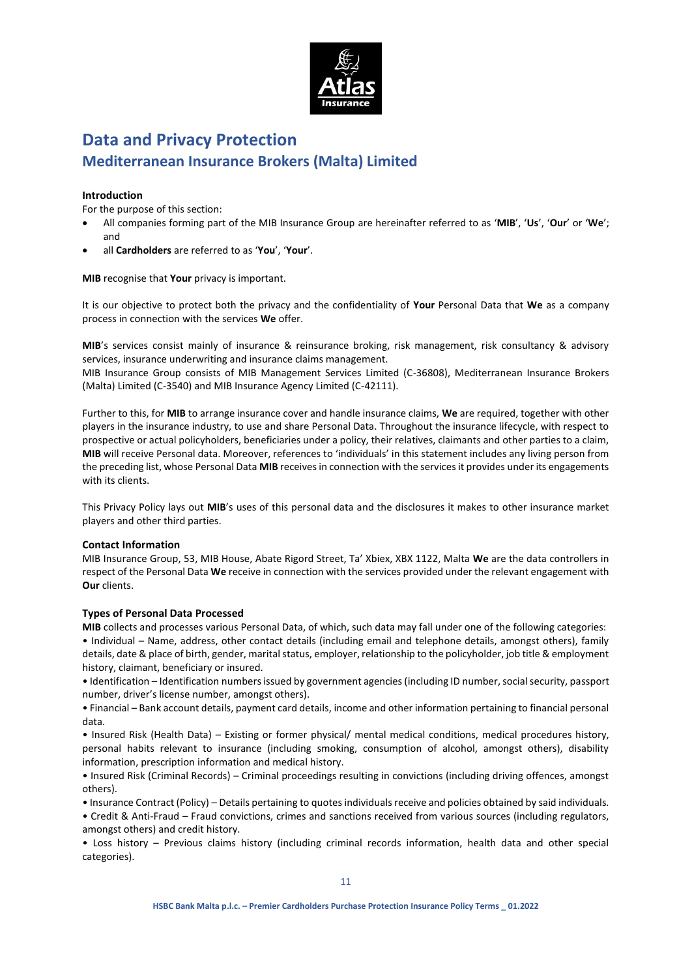

# **Data and Privacy Protection Mediterranean Insurance Brokers (Malta) Limited**

## **Introduction**

For the purpose of this section:

- All companies forming part of the MIB Insurance Group are hereinafter referred to as '**MIB**', '**Us**', '**Our**' or '**We**'; and
- all **Cardholders** are referred to as '**You**', '**Your**'.

**MIB** recognise that **Your** privacy is important.

It is our objective to protect both the privacy and the confidentiality of **Your** Personal Data that **We** as a company process in connection with the services **We** offer.

**MIB**'s services consist mainly of insurance & reinsurance broking, risk management, risk consultancy & advisory services, insurance underwriting and insurance claims management.

MIB Insurance Group consists of MIB Management Services Limited (C-36808), Mediterranean Insurance Brokers (Malta) Limited (C-3540) and MIB Insurance Agency Limited (C-42111).

Further to this, for **MIB** to arrange insurance cover and handle insurance claims, **We** are required, together with other players in the insurance industry, to use and share Personal Data. Throughout the insurance lifecycle, with respect to prospective or actual policyholders, beneficiaries under a policy, their relatives, claimants and other parties to a claim, **MIB** will receive Personal data. Moreover, references to 'individuals' in this statement includes any living person from the preceding list, whose Personal Data **MIB** receives in connection with the services it provides under its engagements with its clients.

This Privacy Policy lays out **MIB**'s uses of this personal data and the disclosures it makes to other insurance market players and other third parties.

#### **Contact Information**

MIB Insurance Group, 53, MIB House, Abate Rigord Street, Ta' Xbiex, XBX 1122, Malta **We** are the data controllers in respect of the Personal Data **We** receive in connection with the services provided under the relevant engagement with **Our** clients.

#### **Types of Personal Data Processed**

**MIB** collects and processes various Personal Data, of which, such data may fall under one of the following categories: • Individual – Name, address, other contact details (including email and telephone details, amongst others), family details, date & place of birth, gender, marital status, employer, relationship to the policyholder, job title & employment history, claimant, beneficiary or insured.

• Identification – Identification numbers issued by government agencies (including ID number, social security, passport number, driver's license number, amongst others).

• Financial – Bank account details, payment card details, income and other information pertaining to financial personal data.

• Insured Risk (Health Data) – Existing or former physical/ mental medical conditions, medical procedures history, personal habits relevant to insurance (including smoking, consumption of alcohol, amongst others), disability information, prescription information and medical history.

• Insured Risk (Criminal Records) – Criminal proceedings resulting in convictions (including driving offences, amongst others).

• Insurance Contract (Policy) – Details pertaining to quotes individuals receive and policies obtained by said individuals.

• Credit & Anti-Fraud – Fraud convictions, crimes and sanctions received from various sources (including regulators, amongst others) and credit history.

• Loss history – Previous claims history (including criminal records information, health data and other special categories).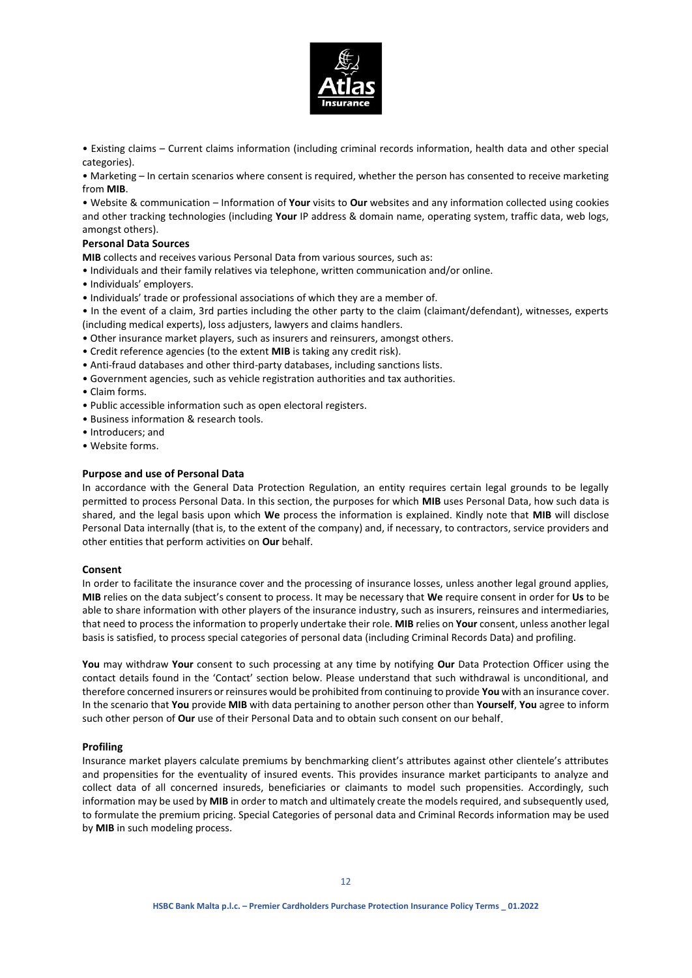

• Existing claims – Current claims information (including criminal records information, health data and other special categories).

• Marketing – In certain scenarios where consent is required, whether the person has consented to receive marketing from **MIB**.

• Website & communication – Information of **Your** visits to **Our** websites and any information collected using cookies and other tracking technologies (including **Your** IP address & domain name, operating system, traffic data, web logs, amongst others).

#### **Personal Data Sources**

**MIB** collects and receives various Personal Data from various sources, such as:

- Individuals and their family relatives via telephone, written communication and/or online.
- Individuals' employers.

• Individuals' trade or professional associations of which they are a member of.

• In the event of a claim, 3rd parties including the other party to the claim (claimant/defendant), witnesses, experts (including medical experts), loss adjusters, lawyers and claims handlers.

- Other insurance market players, such as insurers and reinsurers, amongst others.
- Credit reference agencies (to the extent **MIB** is taking any credit risk).
- Anti-fraud databases and other third-party databases, including sanctions lists.
- Government agencies, such as vehicle registration authorities and tax authorities.
- Claim forms.
- Public accessible information such as open electoral registers.
- Business information & research tools.
- Introducers; and
- Website forms.

#### **Purpose and use of Personal Data**

In accordance with the General Data Protection Regulation, an entity requires certain legal grounds to be legally permitted to process Personal Data. In this section, the purposes for which **MIB** uses Personal Data, how such data is shared, and the legal basis upon which **We** process the information is explained. Kindly note that **MIB** will disclose Personal Data internally (that is, to the extent of the company) and, if necessary, to contractors, service providers and other entities that perform activities on **Our** behalf.

#### **Consent**

In order to facilitate the insurance cover and the processing of insurance losses, unless another legal ground applies, **MIB** relies on the data subject's consent to process. It may be necessary that **We** require consent in order for **Us** to be able to share information with other players of the insurance industry, such as insurers, reinsures and intermediaries, that need to process the information to properly undertake their role. **MIB** relies on **Your** consent, unless another legal basis is satisfied, to process special categories of personal data (including Criminal Records Data) and profiling.

**You** may withdraw **Your** consent to such processing at any time by notifying **Our** Data Protection Officer using the contact details found in the 'Contact' section below. Please understand that such withdrawal is unconditional, and therefore concerned insurers or reinsures would be prohibited from continuing to provide **You** with an insurance cover. In the scenario that **You** provide **MIB** with data pertaining to another person other than **Yourself**, **You** agree to inform such other person of **Our** use of their Personal Data and to obtain such consent on our behalf.

#### **Profiling**

Insurance market players calculate premiums by benchmarking client's attributes against other clientele's attributes and propensities for the eventuality of insured events. This provides insurance market participants to analyze and collect data of all concerned insureds, beneficiaries or claimants to model such propensities. Accordingly, such information may be used by **MIB** in order to match and ultimately create the models required, and subsequently used, to formulate the premium pricing. Special Categories of personal data and Criminal Records information may be used by **MIB** in such modeling process.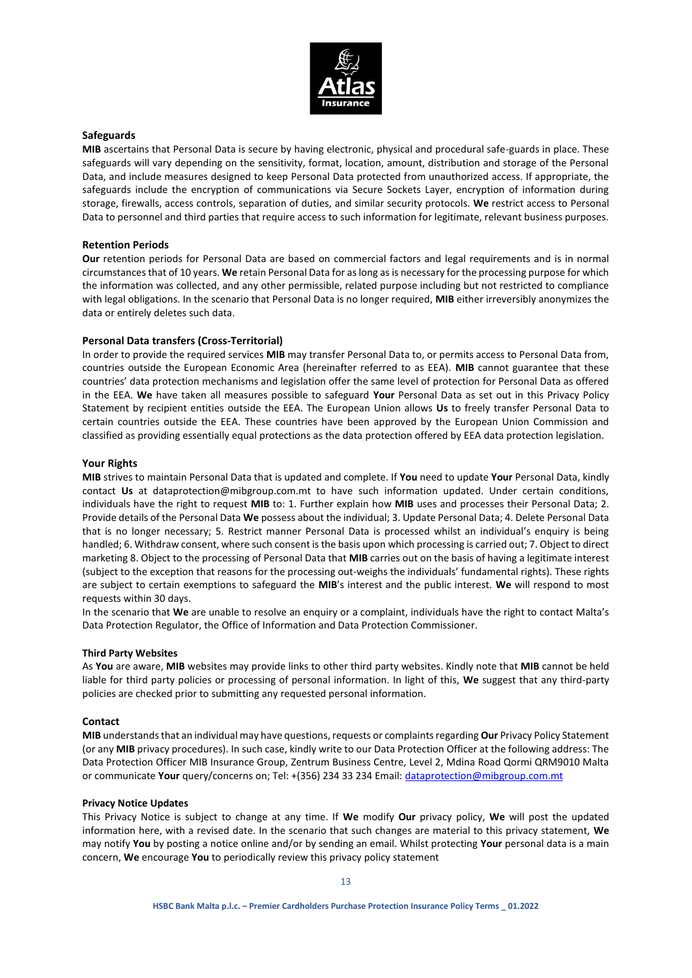

#### **Safeguards**

**MIB** ascertains that Personal Data is secure by having electronic, physical and procedural safe-guards in place. These safeguards will vary depending on the sensitivity, format, location, amount, distribution and storage of the Personal Data, and include measures designed to keep Personal Data protected from unauthorized access. If appropriate, the safeguards include the encryption of communications via Secure Sockets Layer, encryption of information during storage, firewalls, access controls, separation of duties, and similar security protocols. **We** restrict access to Personal Data to personnel and third parties that require access to such information for legitimate, relevant business purposes.

### **Retention Periods**

**Our** retention periods for Personal Data are based on commercial factors and legal requirements and is in normal circumstances that of 10 years. **We** retain Personal Data for as long as is necessary for the processing purpose for which the information was collected, and any other permissible, related purpose including but not restricted to compliance with legal obligations. In the scenario that Personal Data is no longer required, **MIB** either irreversibly anonymizes the data or entirely deletes such data.

### **Personal Data transfers (Cross-Territorial)**

In order to provide the required services **MIB** may transfer Personal Data to, or permits access to Personal Data from, countries outside the European Economic Area (hereinafter referred to as EEA). **MIB** cannot guarantee that these countries' data protection mechanisms and legislation offer the same level of protection for Personal Data as offered in the EEA. **We** have taken all measures possible to safeguard **Your** Personal Data as set out in this Privacy Policy Statement by recipient entities outside the EEA. The European Union allows **Us** to freely transfer Personal Data to certain countries outside the EEA. These countries have been approved by the European Union Commission and classified as providing essentially equal protections as the data protection offered by EEA data protection legislation.

#### **Your Rights**

**MIB** strives to maintain Personal Data that is updated and complete. If **You** need to update **Your** Personal Data, kindly contact **Us** at dataprotection@mibgroup.com.mt to have such information updated. Under certain conditions, individuals have the right to request **MIB** to: 1. Further explain how **MIB** uses and processes their Personal Data; 2. Provide details of the Personal Data **We** possess about the individual; 3. Update Personal Data; 4. Delete Personal Data that is no longer necessary; 5. Restrict manner Personal Data is processed whilst an individual's enquiry is being handled; 6. Withdraw consent, where such consent is the basis upon which processing is carried out; 7. Object to direct marketing 8. Object to the processing of Personal Data that **MIB** carries out on the basis of having a legitimate interest (subject to the exception that reasons for the processing out-weighs the individuals' fundamental rights). These rights are subject to certain exemptions to safeguard the **MIB**'s interest and the public interest. **We** will respond to most requests within 30 days.

In the scenario that **We** are unable to resolve an enquiry or a complaint, individuals have the right to contact Malta's Data Protection Regulator, the Office of Information and Data Protection Commissioner.

#### **Third Party Websites**

As **You** are aware, **MIB** websites may provide links to other third party websites. Kindly note that **MIB** cannot be held liable for third party policies or processing of personal information. In light of this, **We** suggest that any third-party policies are checked prior to submitting any requested personal information.

#### **Contact**

**MIB** understands that an individual may have questions, requests or complaints regarding **Our** Privacy Policy Statement (or any **MIB** privacy procedures). In such case, kindly write to our Data Protection Officer at the following address: The Data Protection Officer MIB Insurance Group, Zentrum Business Centre, Level 2, Mdina Road Qormi QRM9010 Malta or communicate **Your** query/concerns on; Tel: +(356) 234 33 234 Email[: dataprotection@mibgroup.com.mt](mailto:dataprotection@mibgroup.com.mt)

#### **Privacy Notice Updates**

This Privacy Notice is subject to change at any time. If **We** modify **Our** privacy policy, **We** will post the updated information here, with a revised date. In the scenario that such changes are material to this privacy statement, **We** may notify **You** by posting a notice online and/or by sending an email. Whilst protecting **Your** personal data is a main concern, **We** encourage **You** to periodically review this privacy policy statement